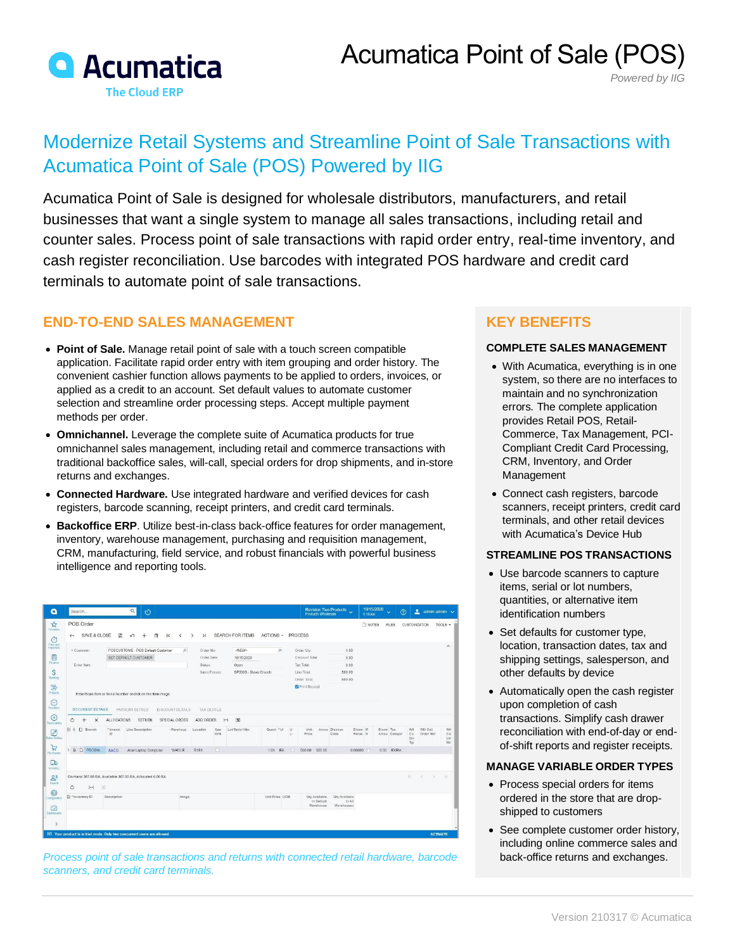

# Acumatica Point of Sale (POS)

*Powered by IIG*

# Modernize Retail Systems and Streamline Point of Sale Transactions with Acumatica Point of Sale (POS) Powered by IIG

Acumatica Point of Sale is designed for wholesale distributors, manufacturers, and retail businesses that want a single system to manage all sales transactions, including retail and counter sales. Process point of sale transactions with rapid order entry, real-time inventory, and cash register reconciliation. Use barcodes with integrated POS hardware and credit card terminals to automate point of sale transactions.

## **END-TO-END SALES MANAGEMENT**

- **Point of Sale.** Manage retail point of sale with a touch screen compatible application. Facilitate rapid order entry with item grouping and order history. The convenient cashier function allows payments to be applied to orders, invoices, or applied as a credit to an account. Set default values to automate customer selection and streamline order processing steps. Accept multiple payment methods per order.
- **Omnichannel.** Leverage the complete suite of Acumatica products for true omnichannel sales management, including retail and commerce transactions with traditional backoffice sales, will-call, special orders for drop shipments, and in-store returns and exchanges.
- **Connected Hardware.** Use integrated hardware and verified devices for cash registers, barcode scanning, receipt printers, and credit card terminals.
- **Backoffice ERP**. Utilize best-in-class back-office features for order management, inventory, warehouse management, purchasing and requisition management, CRM, manufacturing, field service, and robust financials with powerful business intelligence and reporting tools.

|                    | Search      |                                          |                     |                                                                       | $\alpha$                      |  | $\circ$              |   |              |                  |                          |                |                    |                               |                                                        |           |         |                          |        |                        | <b>Products Wholesale</b> | Revision Two Products |                    | 6:18 AM        | 10/15/2020 | $\ddotmark$  | の                 | 2                      | admin admin $\sim$ |                         |
|--------------------|-------------|------------------------------------------|---------------------|-----------------------------------------------------------------------|-------------------------------|--|----------------------|---|--------------|------------------|--------------------------|----------------|--------------------|-------------------------------|--------------------------------------------------------|-----------|---------|--------------------------|--------|------------------------|---------------------------|-----------------------|--------------------|----------------|------------|--------------|-------------------|------------------------|--------------------|-------------------------|
|                    |             | POS Order                                |                     |                                                                       |                               |  |                      |   |              |                  |                          |                |                    |                               |                                                        |           |         |                          |        |                        |                           |                       |                    | <b>T</b> NOTES |            | <b>FILES</b> |                   | <b>CUSTOMIZATION</b>   |                    | TOOLS +                 |
| $\leftarrow$       |             | SAVE & CLOSE                             |                     | 目                                                                     | $\sqrt{2}$                    |  | $^{+}$               | m | $\mathsf{K}$ | $\langle$        | $\rightarrow$            | >1             |                    |                               | <b>SEARCH FOR ITEMS</b>                                | ACTIONS - |         |                          |        | PROCESS                |                           |                       |                    |                |            |              |                   |                        |                    |                         |
|                    | * Customer: |                                          |                     | POSCUSTOME - POS Default Customer                                     |                               |  |                      |   |              | $\circ$          |                          | Order Nbr:     |                    |                               | <new></new>                                            |           | $\circ$ |                          |        | Order Qtv:             |                           |                       | 1.09               |                |            |              |                   |                        |                    |                         |
|                    |             |                                          |                     | SET DEFAULT CUSTOMER                                                  |                               |  |                      |   |              |                  |                          |                | Order Date:        |                               | 10/15/2020                                             |           |         |                          |        | <b>Discount Total:</b> |                           |                       | 0.00               |                |            |              |                   |                        |                    |                         |
|                    | Enter Item: |                                          |                     |                                                                       |                               |  |                      |   |              |                  | Status:<br>Sales Person: |                |                    | Open<br>SP0003 - Steve Church |                                                        |           |         | Tax Total:<br>Line Total |        | 0.00<br>500.00         |                           |                       |                    |                |            |              |                   |                        |                    |                         |
|                    |             |                                          |                     |                                                                       |                               |  |                      |   |              |                  |                          |                |                    |                               |                                                        |           |         |                          |        | Order Total:           |                           |                       | 500.00             |                |            |              |                   |                        |                    |                         |
|                    |             |                                          |                     |                                                                       |                               |  |                      |   |              |                  |                          |                |                    |                               |                                                        |           |         |                          |        | Print Receipt          |                           |                       |                    |                |            |              |                   |                        |                    |                         |
|                    |             |                                          |                     | Enter/Scan Item or Serial Number or click on the Item image.          |                               |  |                      |   |              |                  |                          |                |                    |                               |                                                        |           |         |                          |        |                        |                           |                       |                    |                |            |              |                   |                        |                    |                         |
|                    |             | DOCUMENT DETAILS                         |                     |                                                                       | <b><i>ENYMENT DETAILS</i></b> |  |                      |   |              | DISCOUNT DETAILS |                          |                | <b>TAX DETAILS</b> |                               |                                                        |           |         |                          |        |                        |                           |                       |                    |                |            |              |                   |                        |                    |                         |
| Ò                  |             | $\times$<br>÷                            |                     | <b>ALLOCATIONS</b>                                                    |                               |  | <b>RETURN</b>        |   |              | SPECIAL ORDER    |                          | ADD ORDER      |                    | $[-1]$                        | $\overline{\mathbf{x}}$                                |           |         |                          |        |                        |                           |                       |                    |                |            |              |                   |                        |                    |                         |
| 四日<br>Sales Orders |             | n Branch                                 |                     | *Invento<br>ID.                                                       |                               |  | Line Description     |   |              | Warehous         |                          | Location       | Spe<br>Ord         |                               | Lot/Serial Nbr.                                        | Quant *Uk |         | u                        | L.     | Unit<br>Price          |                           | Amou Discoun<br>Code  | Disco M<br>Perce D |                | Disco Tax  | Amou Categor | Wil<br>Cal<br>Ori | Will Call<br>Order Nbr |                    |                         |
|                    |             | > & C PRODW.                             |                     | AACO.                                                                 |                               |  | Acer Laptop Computer |   |              | WHOLE.           |                          | R1S1           | $\Box$             |                               |                                                        | 1.00 EA   |         |                          | $\Box$ | 500.00                 | 500.00                    |                       | 0.000000           |                |            | 0.00 EXEM    | Typ               |                        |                    |                         |
|                    |             |                                          |                     |                                                                       |                               |  |                      |   |              |                  |                          |                |                    |                               |                                                        |           |         |                          |        |                        |                           |                       |                    |                |            |              |                   |                        |                    |                         |
|                    |             |                                          |                     |                                                                       |                               |  |                      |   |              |                  |                          |                |                    |                               |                                                        |           |         |                          |        |                        |                           |                       |                    |                |            |              |                   |                        |                    |                         |
|                    |             |                                          |                     | On Hand 367.00 EA, Available 367.00 EA, Allocated 0.00 EA             |                               |  |                      |   |              |                  |                          |                |                    |                               |                                                        |           |         |                          |        |                        |                           |                       |                    |                |            |              | ic.               | ×                      | S.                 | $\overline{\mathbf{H}}$ |
| Ò                  |             | $\left  \cdot \right $                   | $\overline{\infty}$ |                                                                       |                               |  |                      |   |              |                  |                          |                |                    |                               |                                                        |           |         |                          |        |                        |                           |                       |                    |                |            |              |                   |                        |                    |                         |
|                    |             | El ^Inventory ID<br>Description<br>Image |                     |                                                                       |                               |  |                      |   |              |                  |                          | Unit Price UOM |                    |                               | Oty Available<br>Qty Available<br>in Default<br>In All |           |         |                          |        |                        |                           |                       |                    |                |            |              |                   |                        |                    |                         |
|                    |             |                                          |                     |                                                                       |                               |  |                      |   |              |                  |                          |                |                    |                               |                                                        |           |         |                          |        |                        | Warehouse                 | Warehouses            |                    |                |            |              |                   |                        |                    |                         |
|                    |             |                                          |                     |                                                                       |                               |  |                      |   |              |                  |                          |                |                    |                               |                                                        |           |         |                          |        |                        |                           |                       |                    |                |            |              |                   |                        |                    |                         |
|                    |             |                                          |                     |                                                                       |                               |  |                      |   |              |                  |                          |                |                    |                               |                                                        |           |         |                          |        |                        |                           |                       |                    |                |            |              |                   |                        |                    |                         |
|                    |             |                                          |                     | Your product is in trial mode. Only two concurrent users are allowed. |                               |  |                      |   |              |                  |                          |                |                    |                               |                                                        |           |         |                          |        |                        |                           |                       |                    |                |            |              |                   |                        |                    |                         |

*Process point of sale transactions and returns with connected retail hardware, barcode* back-office returns and exchanges. *scanners, and credit card terminals.*

# **KEY BENEFITS**

#### **COMPLETE SALES MANAGEMENT**

- With Acumatica, everything is in one system, so there are no interfaces to maintain and no synchronization errors. The complete application provides Retail POS, Retail-Commerce, Tax Management, PCI-Compliant Credit Card Processing, CRM, Inventory, and Order Management
- Connect cash registers, barcode scanners, receipt printers, credit card terminals, and other retail devices with Acumatica's Device Hub

#### **STREAMLINE POS TRANSACTIONS**

- Use barcode scanners to capture items, serial or lot numbers, quantities, or alternative item identification numbers
- Set defaults for customer type, location, transaction dates, tax and shipping settings, salesperson, and other defaults by device
- Automatically open the cash register upon completion of cash transactions. Simplify cash drawer reconciliation with end-of-day or endof-shift reports and register receipts.

#### **MANAGE VARIABLE ORDER TYPES**

- Process special orders for items ordered in the store that are dropshipped to customers
- See complete customer order history, including online commerce sales and